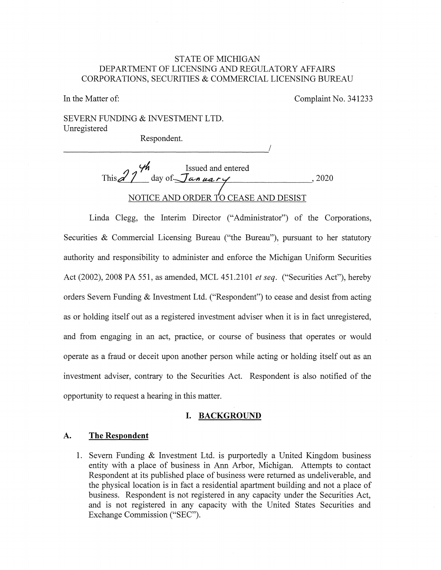# STATE OF MICHIGAN DEPARTMENT OF LICENSING AND REGULATORY AFFAIRS CORPORATIONS, SECURITIES & COMMERCIAL LICENSING BUREAU

In the Matter of:

Complaint No. 341233

SEVERN FUNDING & INVESTMENT LTD. Unregistered

Respondent. Respondent.

**c/1,** Issued and entered This  $27 \text{ day of }$  January , 2020 NOTICE AND ORDER TO CEASE AND DESIST

Linda Clegg, the Interim Director ("Administrator") of the Corporations, Securities & Commercial Licensing Bureau ("the Bureau"), pursuant to her statutory authority and responsibility to administer and enforce the Michigan Uniform Securities Act (2002), 2008 PA 551, as amended, MCL 451.2101 *et seq.* ("Securities Act"), hereby orders Severn Funding & Investment Ltd. ("Respondent") to cease and desist from acting as or holding itself out as a registered investment adviser when it is in fact unregistered, and from engaging in an act, practice, or course of business that operates or would operate as a fraud or deceit upon another person while acting or holding itself out as an investment adviser, contrary to the Securities Act. Respondent is also notified of the opportunity to request a hearing in this matter.

#### **I. BACKGROUND**

## **A. The Respondent**

1. Severn Funding & Investment Ltd. is purportedly a United Kingdom business entity with a place of business in Ann Arbor, Michigan. Attempts to contact Respondent at its published place of business were returned as undeliverable, and the physical location is in fact a residential apartment building and not a place of business. Respondent is not registered in any capacity under the Securities Act, and is not registered in any capacity with the United States Securities and Exchange Commission ("SEC").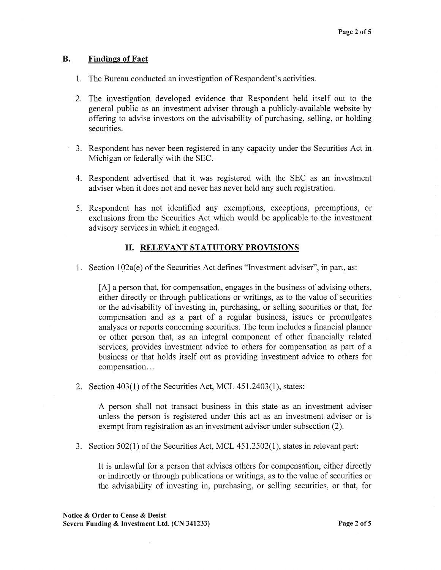#### **B. Findings of Fact**

- 1. The Bureau conducted an investigation of Respondent's activities.
- 2. The investigation developed evidence that Respondent held itself out to the general public as an investment adviser through a publicly-available website by offering to advise investors on the advisability of purchasing, selling, or holding securities.
- 3. Respondent has never been registered in any capacity under the Securities Act in Michigan or federally with the SEC.
- 4. Respondent advertised that it was registered with the SEC as an investment adviser when it does not and never has never held any such registration.
- 5. Respondent has not identified any exemptions, exceptions, preemptions, or exclusions from the Securities Act which would be applicable to the investment advisory services in which it engaged.

### II. **RELEVANT STATUTORY PROVISIONS**

1. Section 102a(e) of the Securities Act defines "Investment adviser", in part, as:

[A] a person that, for compensation, engages in the business of advising others, either directly or through publications or writings, as to the value of securities or the advisability of investing in, purchasing, or selling securities or that, for compensation and as a part of a regular business, issues or promulgates analyses or reports concerning securities. The term includes a financial planner or other person that, as an integral component of other financially related services, provides investment advice to others for compensation as part of a business or that holds itself out as providing investment advice to others for compensation...

2. Section 403(1) of the Securities Act, MCL 451.2403(1), states:

A person shall not transact business in this state as an investment adviser unless the person is registered under this act as an investment adviser or is exempt from registration as an investment adviser under subsection (2).

3. Section 502(1) of the Securities Act, MCL 451.2502(1), states in relevant part:

It is unlawful for a person that advises others for compensation, either directly or indirectly or through publications or writings, as to the value of securities or the advisability of investing in, purchasing, or selling securities, or that, for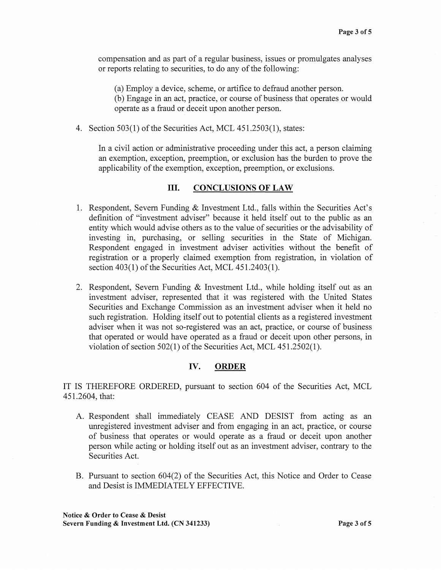compensation and as part of a regular business, issues or promulgates analyses or reports relating to securities, to do any of the following:

(a) Employ a device, scheme, or artifice to defraud another person.

(b) Engage in an act, practice, or course of business that operates or would operate as a fraud or deceit upon another person.

4. Section 503(1) of the Securities Act, MCL 451.2503(1), states:

In a civil action or administrative proceeding under this act, a person claiming an exemption, exception, preemption, or exclusion has the burden to prove the applicability of the exemption, exception, preemption, or exclusions.

## III. **CONCLUSIONS OF LAW**

- 1. Respondent, Severn Funding & Investment Ltd., falls within the Securities Act's definition of "investment adviser" because it held itself out to the public as an entity which would advise others as to the value of securities or the advisability of investing in, purchasing, or selling securities in the State of Michigan. Respondent engaged in investment adviser activities without the benefit of registration or a properly claimed exemption from registration, in violation of section 403(1) of the Securities Act, MCL 451.2403(1).
- 2. Respondent, Severn Funding & Investment Ltd., while holding itself out as an investment adviser, represented that it was registered with the United States Securities and Exchange Commission as an investment adviser when it held no such registration. Holding itself out to potential clients as a registered investment adviser when it was not so-registered was an act, practice, or course of business that operated or would have operated as a fraud or deceit upon other persons, in violation of section 502(1) of the Securities Act, MCL 451.2502(1 ).

# **IV. ORDER**

IT IS THEREFORE ORDERED, pursuant to section 604 of the Securities Act, MCL 451.2604, that:

- A. Respondent shall immediately CEASE AND DESIST from acting as an unregistered investment adviser and from engaging in an act, practice, or course of business that operates or would operate as a fraud or deceit upon another person while acting or holding itself out as an investment adviser, contrary to the Securities Act.
- B. Pursuant to section 604(2) of the Securities Act, this Notice and Order to Cease and Desist is IMMEDIATELY EFFECTIVE.

**Notice** & **Order to Cease** & **Desist Severn Funding** & **Investment Ltd. (CN 341233) Page 3 of5**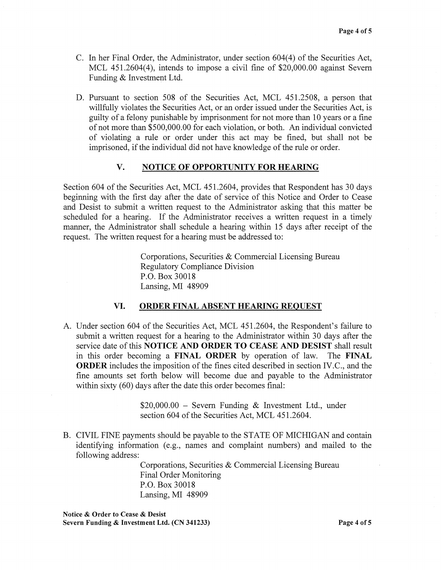- C. In her Final Order, the Administrator, under section 604(4) of the Securities Act, MCL 451.2604(4), intends to impose a civil fine of \$20,000.00 against Severn Funding & Investment Ltd.
- D. Pursuant to section 508 of the Securities Act, MCL 451.2508, a person that willfully violates the Securities Act, or an order issued under the Securities Act, is guilty of a felony punishable by imprisonment for not more than 10 years or a fine of not more than \$500,000.00 for each violation, or both. An individual convicted of violating a rule or order under this act may be fined, but shall not be imprisoned, if the individual did not have knowledge of the rule or order.

### **V. NOTICE OF OPPORTUNITY FOR HEARING**

Section 604 of the Securities Act, MCL 451.2604, provides that Respondent has 30 days beginning with the first day after the date of service of this Notice and Order to Cease and Desist to submit a written request to the Administrator asking that this matter be scheduled for a hearing. If the Administrator receives a written request in a timely manner, the Administrator shall schedule a hearing within 15 days after receipt of the request. The written request for a hearing must be addressed to:

> Corporations, Securities & Commercial Licensing Bureau Regulatory Compliance Division P.O. Box 30018 Lansing, MI 48909

#### **VI. ORDER FINAL ABSENT HEARING REQUEST**

A. Under section 604 of the Securities Act, MCL 451.2604, the Respondent's failure to submit a written request for a hearing to the Administrator within 30 days after the service date of this **NOTICE AND ORDER TO CEASE AND DESIST** shall result in this order becoming a **FINAL ORDER** by operation of law. The **FINAL ORDER** includes the imposition of the fines cited described in section IV.C., and the fine amounts set forth below will become due and payable to the Administrator within sixty (60) days after the date this order becomes final:

> \$20,000.00 - Severn Funding & Investment Ltd., under section 604 of the Securities Act, MCL 451.2604.

B. CIVIL FINE payments should be payable to the STATE OF MICHIGAN and contain identifying information (e.g., names and complaint numbers) and mailed to the following address:

> Corporations, Securities & Commercial Licensing Bureau Final Order Monitoring P.O. Box 30018 Lansing, MI 48909

**Notice** & **Order to Cease** & **Desist Severn Funding** & **Investment Ltd. (CN 341233) Page 4 of5**